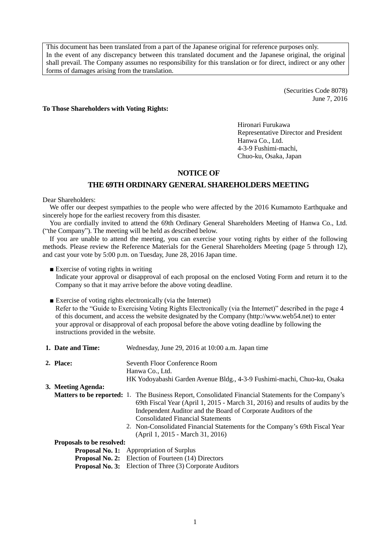This document has been translated from a part of the Japanese original for reference purposes only. In the event of any discrepancy between this translated document and the Japanese original, the original shall prevail. The Company assumes no responsibility for this translation or for direct, indirect or any other forms of damages arising from the translation.

> (Securities Code 8078) June 7, 2016

**To Those Shareholders with Voting Rights:**

Hironari Furukawa Representative Director and President Hanwa Co., Ltd. 4-3-9 Fushimi-machi, Chuo-ku, Osaka, Japan

#### **NOTICE OF**

## **THE 69TH ORDINARY GENERALSHAREHOLDERS MEETING**

Dear Shareholders:

We offer our deepest sympathies to the people who were affected by the 2016 Kumamoto Earthquake and sincerely hope for the earliest recovery from this disaster.

You are cordially invited to attend the 69th Ordinary General Shareholders Meeting of Hanwa Co., Ltd. ("the Company"). The meeting will be held as described below.

If you are unable to attend the meeting, you can exercise your voting rights by either of the following methods. Please review the Reference Materials for the General Shareholders Meeting (page 5 through 12), and cast your vote by 5:00 p.m. on Tuesday, June 28, 2016 Japan time.

■ Exercise of voting rights in writing

Indicate your approval or disapproval of each proposal on the enclosed Voting Form and return it to the Company so that it may arrive before the above voting deadline.

■ Exercise of voting rights electronically (via the Internet)

Refer to the "Guide to Exercising Voting Rights Electronically (via the Internet)" described in the page 4 of this document, and access the website designated by the Company [\(http://www.web54.net\)](http://www.web54.net/) to enter your approval or disapproval of each proposal before the above voting deadline by following the instructions provided in the website.

- **1. Date and Time:** Wednesday, June 29, 2016 at 10:00 a.m. Japan time **2. Place:** Seventh Floor Conference Room Hanwa Co., Ltd. HK Yodoyabashi Garden Avenue Bldg., 4-3-9 Fushimi-machi, Chuo-ku, Osaka **3. Meeting Agenda: Matters to be reported:** 1. The Business Report, Consolidated Financial Statements for the Company's 69th Fiscal Year (April 1, 2015 - March 31, 2016) and results of audits by the Independent Auditor and the Board of Corporate Auditors of the Consolidated Financial Statements 2. Non-Consolidated Financial Statements for the Company's 69th Fiscal Year (April 1, 2015 - March 31, 2016) **Proposals to be resolved: Proposal No. 1:** Appropriation of Surplus
	- **Proposal No. 2:** Election of Fourteen (14) Directors **Proposal No. 3:** Election of Three (3) Corporate Auditors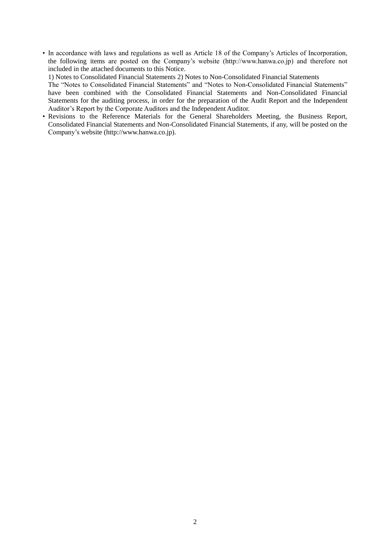• In accordance with laws and regulations as well as Article 18 of the Company's Articles of Incorporation, the following items are posted on the Company's website (http://www.hanwa.co.jp) and therefore not included in the attached documents to this Notice.

1) Notes to Consolidated Financial Statements 2) Notes to Non-Consolidated Financial Statements

The "Notes to Consolidated Financial Statements" and "Notes to Non-Consolidated Financial Statements" have been combined with the Consolidated Financial Statements and Non-Consolidated Financial Statements for the auditing process, in order for the preparation of the Audit Report and the Independent Auditor's Report by the Corporate Auditors and the Independent Auditor.

• Revisions to the Reference Materials for the General Shareholders Meeting, the Business Report, Consolidated Financial Statements and Non-Consolidated Financial Statements, if any, will be posted on the Company's website (http://www.hanwa.co.jp).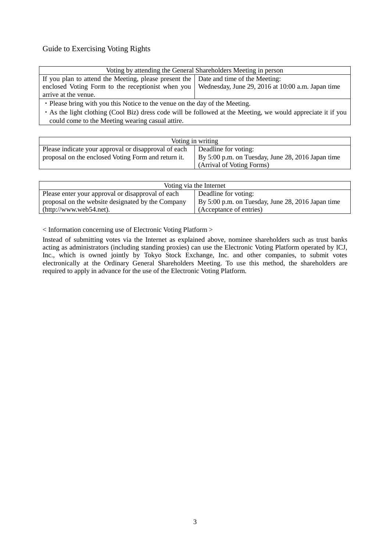# Guide to Exercising Voting Rights

| Voting by attending the General Shareholders Meeting in person                                        |  |  |  |  |
|-------------------------------------------------------------------------------------------------------|--|--|--|--|
| If you plan to attend the Meeting, please present the   Date and time of the Meeting:                 |  |  |  |  |
| enclosed Voting Form to the receptionist when you   Wednesday, June 29, 2016 at 10:00 a.m. Japan time |  |  |  |  |
| arrive at the venue.                                                                                  |  |  |  |  |
| • Place bring with you this Notice to the young on the day of the Meeting                             |  |  |  |  |

Please bring with you this Notice to the venue on the day of the Meeting.

・As the light clothing (Cool Biz) dress code will be followed at the Meeting, we would appreciate it if you could come to the Meeting wearing casual attire.

| Voting in writing                                                                                           |                                                                           |  |
|-------------------------------------------------------------------------------------------------------------|---------------------------------------------------------------------------|--|
| Please indicate your approval or disapproval of each<br>proposal on the enclosed Voting Form and return it. | Deadline for voting:<br>By 5:00 p.m. on Tuesday, June 28, 2016 Japan time |  |
|                                                                                                             | (Arrival of Voting Forms)                                                 |  |

| Voting via the Internet                           |                                                   |  |  |  |
|---------------------------------------------------|---------------------------------------------------|--|--|--|
| Please enter your approval or disapproval of each | Deadline for voting:                              |  |  |  |
| proposal on the website designated by the Company | By 5:00 p.m. on Tuesday, June 28, 2016 Japan time |  |  |  |
| (http://www.web54.net).                           | (Acceptance of entries)                           |  |  |  |

< Information concerning use of Electronic Voting Platform >

Instead of submitting votes via the Internet as explained above, nominee shareholders such as trust banks acting as administrators (including standing proxies) can use the Electronic Voting Platform operated by ICJ, Inc., which is owned jointly by Tokyo Stock Exchange, Inc. and other companies, to submit votes electronically at the Ordinary General Shareholders Meeting. To use this method, the shareholders are required to apply in advance for the use of the Electronic Voting Platform.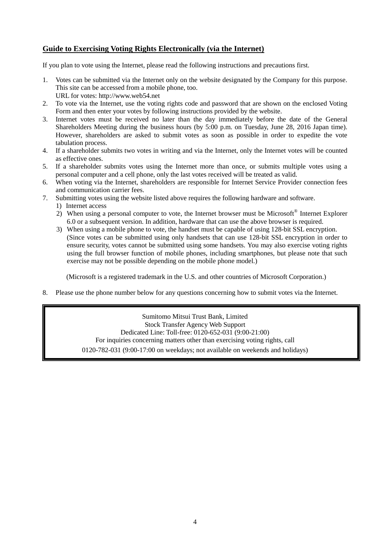# **Guide to Exercising Voting Rights Electronically (via the Internet)**

If you plan to vote using the Internet, please read the following instructions and precautions first.

- 1. Votes can be submitted via the Internet only on the website designated by the Company for this purpose. This site can be accessed from a mobile phone, too. URL for votes: http://www.web54.net
- 2. To vote via the Internet, use the voting rights code and password that are shown on the enclosed Voting Form and then enter your votes by following instructions provided by the website.
- 3. Internet votes must be received no later than the day immediately before the date of the General Shareholders Meeting during the business hours (by 5:00 p.m. on Tuesday, June 28, 2016 Japan time). However, shareholders are asked to submit votes as soon as possible in order to expedite the vote tabulation process.
- 4. If a shareholder submits two votes in writing and via the Internet, only the Internet votes will be counted as effective ones.
- 5. If a shareholder submits votes using the Internet more than once, or submits multiple votes using a personal computer and a cell phone, only the last votes received will be treated as valid.
- 6. When voting via the Internet, shareholders are responsible for Internet Service Provider connection fees and communication carrier fees.
- 7. Submitting votes using the website listed above requires the following hardware and software.
	- 1) Internet access
	- 2) When using a personal computer to vote, the Internet browser must be Microsoft® Internet Explorer 6.0 or a subsequent version. In addition, hardware that can use the above browser is required.
	- 3) When using a mobile phone to vote, the handset must be capable of using 128-bit SSL encryption. (Since votes can be submitted using only handsets that can use 128-bit SSL encryption in order to ensure security, votes cannot be submitted using some handsets. You may also exercise voting rights using the full browser function of mobile phones, including smartphones, but please note that such exercise may not be possible depending on the mobile phone model.)

(Microsoft is a registered trademark in the U.S. and other countries of Microsoft Corporation.)

8. Please use the phone number below for any questions concerning how to submit votes via the Internet.

Sumitomo Mitsui Trust Bank, Limited Stock Transfer Agency Web Support Dedicated Line: Toll-free: 0120-652-031 (9:00-21:00) For inquiries concerning matters other than exercising voting rights, call 0120-782-031 (9:00-17:00 on weekdays; not available on weekends and holidays)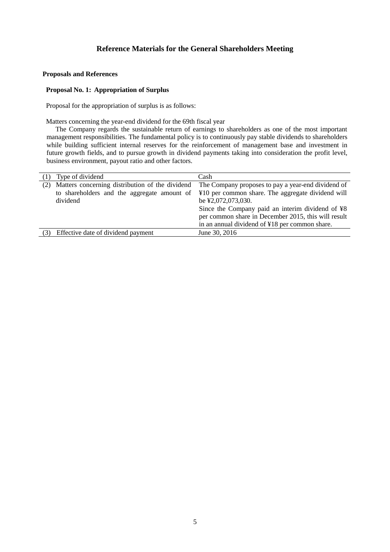#### **Proposals and References**

#### **Proposal No. 1: Appropriation of Surplus**

Proposal for the appropriation of surplus is as follows:

Matters concerning the year-end dividend for the 69th fiscal year

The Company regards the sustainable return of earnings to shareholders as one of the most important management responsibilities. The fundamental policy is to continuously pay stable dividends to shareholders while building sufficient internal reserves for the reinforcement of management base and investment in future growth fields, and to pursue growth in dividend payments taking into consideration the profit level, business environment, payout ratio and other factors.

| (1) | Type of dividend                                                                                           | Cash                                                                                                                                                                                                                                                                                       |
|-----|------------------------------------------------------------------------------------------------------------|--------------------------------------------------------------------------------------------------------------------------------------------------------------------------------------------------------------------------------------------------------------------------------------------|
| (2) | Matters concerning distribution of the dividend<br>to shareholders and the aggregate amount of<br>dividend | The Company proposes to pay a year-end dividend of<br>¥10 per common share. The aggregate dividend will<br>be ¥2,072,073,030.<br>Since the Company paid an interim dividend of ¥8<br>per common share in December 2015, this will result<br>in an annual dividend of ¥18 per common share. |
| (3) | Effective date of dividend payment                                                                         | June 30, 2016                                                                                                                                                                                                                                                                              |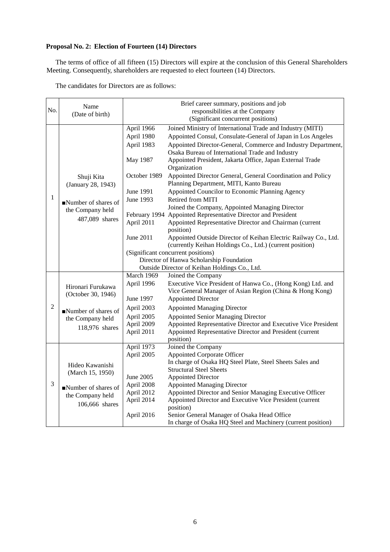## **Proposal No. 2: Election of Fourteen (14) Directors**

The terms of office of all fifteen (15) Directors will expire at the conclusion of this General Shareholders Meeting. Consequently, shareholders are requested to elect fourteen (14) Directors.

| The candidates for Directors are as follows: |  |  |  |  |
|----------------------------------------------|--|--|--|--|
|----------------------------------------------|--|--|--|--|

| No.            | Name<br>(Date of birth)                                                                          |                                                                                                                         | Brief career summary, positions and job<br>responsibilities at the Company<br>(Significant concurrent positions)                                                                                                                                                                                                                                                                                                                                                                                                                                                                                                                                                                                                                                                                                                                                                                                                           |
|----------------|--------------------------------------------------------------------------------------------------|-------------------------------------------------------------------------------------------------------------------------|----------------------------------------------------------------------------------------------------------------------------------------------------------------------------------------------------------------------------------------------------------------------------------------------------------------------------------------------------------------------------------------------------------------------------------------------------------------------------------------------------------------------------------------------------------------------------------------------------------------------------------------------------------------------------------------------------------------------------------------------------------------------------------------------------------------------------------------------------------------------------------------------------------------------------|
| $\mathbf{1}$   | Shuji Kita<br>(January 28, 1943)<br>Number of shares of<br>the Company held<br>487,089 shares    | April 1966<br>April 1980<br>April 1983<br>May 1987<br>October 1989<br>June 1991<br>June 1993<br>April 2011<br>June 2011 | Joined Ministry of International Trade and Industry (MITI)<br>Appointed Consul, Consulate-General of Japan in Los Angeles<br>Appointed Director-General, Commerce and Industry Department,<br>Osaka Bureau of International Trade and Industry<br>Appointed President, Jakarta Office, Japan External Trade<br>Organization<br>Appointed Director General, General Coordination and Policy<br>Planning Department, MITI, Kanto Bureau<br>Appointed Councilor to Economic Planning Agency<br>Retired from MITI<br>Joined the Company, Appointed Managing Director<br>February 1994 Appointed Representative Director and President<br>Appointed Representative Director and Chairman (current<br>position)<br>Appointed Outside Director of Keihan Electric Railway Co., Ltd.<br>(currently Keihan Holdings Co., Ltd.) (current position)<br>(Significant concurrent positions)<br>Director of Hanwa Scholarship Foundation |
|                |                                                                                                  | March 1969                                                                                                              | Outside Director of Keihan Holdings Co., Ltd.<br>Joined the Company                                                                                                                                                                                                                                                                                                                                                                                                                                                                                                                                                                                                                                                                                                                                                                                                                                                        |
|                | Hironari Furukawa<br>(October 30, 1946)                                                          | April 1996<br>June 1997                                                                                                 | Executive Vice President of Hanwa Co., (Hong Kong) Ltd. and<br>Vice General Manager of Asian Region (China & Hong Kong)<br><b>Appointed Director</b>                                                                                                                                                                                                                                                                                                                                                                                                                                                                                                                                                                                                                                                                                                                                                                       |
| $\overline{2}$ | Number of shares of<br>the Company held<br>118,976 shares                                        | April 2003                                                                                                              | <b>Appointed Managing Director</b>                                                                                                                                                                                                                                                                                                                                                                                                                                                                                                                                                                                                                                                                                                                                                                                                                                                                                         |
|                |                                                                                                  | April 2005<br>April 2009<br>April 2011                                                                                  | <b>Appointed Senior Managing Director</b><br>Appointed Representative Director and Executive Vice President<br>Appointed Representative Director and President (current<br>position)                                                                                                                                                                                                                                                                                                                                                                                                                                                                                                                                                                                                                                                                                                                                       |
| 3              | Hideo Kawanishi<br>(March 15, 1950)<br>Number of shares of<br>the Company held<br>106,666 shares | April 1973<br>April 2005<br>June 2005<br>April 2008<br>April 2012<br>April 2014<br>April 2016                           | Joined the Company<br><b>Appointed Corporate Officer</b><br>In charge of Osaka HQ Steel Plate, Steel Sheets Sales and<br><b>Structural Steel Sheets</b><br><b>Appointed Director</b><br><b>Appointed Managing Director</b><br>Appointed Director and Senior Managing Executive Officer<br>Appointed Director and Executive Vice President (current<br>position)<br>Senior General Manager of Osaka Head Office<br>In charge of Osaka HQ Steel and Machinery (current position)                                                                                                                                                                                                                                                                                                                                                                                                                                             |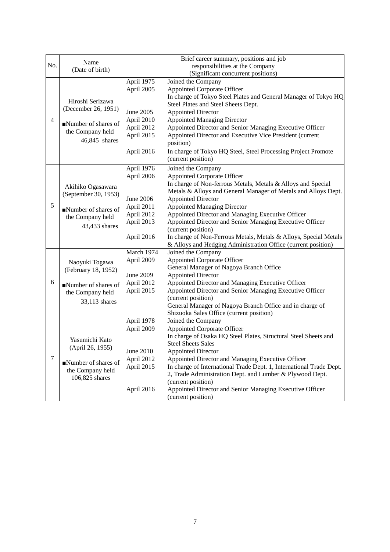|                |                      |            | Brief career summary, positions and job                             |
|----------------|----------------------|------------|---------------------------------------------------------------------|
| No.            | Name                 |            | responsibilities at the Company                                     |
|                | (Date of birth)      |            | (Significant concurrent positions)                                  |
|                |                      | April 1975 | Joined the Company                                                  |
|                |                      | April 2005 | <b>Appointed Corporate Officer</b>                                  |
|                |                      |            | In charge of Tokyo Steel Plates and General Manager of Tokyo HQ     |
|                | Hiroshi Serizawa     |            | Steel Plates and Steel Sheets Dept.                                 |
|                | (December 26, 1951)  | June 2005  | <b>Appointed Director</b>                                           |
| $\overline{4}$ |                      | April 2010 | <b>Appointed Managing Director</b>                                  |
|                | Number of shares of  | April 2012 | Appointed Director and Senior Managing Executive Officer            |
|                | the Company held     | April 2015 | Appointed Director and Executive Vice President (current            |
|                | 46,845 shares        |            | position)                                                           |
|                |                      | April 2016 | In charge of Tokyo HQ Steel, Steel Processing Project Promote       |
|                |                      |            | (current position)                                                  |
|                |                      | April 1976 | Joined the Company                                                  |
|                |                      | April 2006 | Appointed Corporate Officer                                         |
|                |                      |            | In charge of Non-ferrous Metals, Metals & Alloys and Special        |
|                | Akihiko Ogasawara    |            | Metals & Alloys and General Manager of Metals and Alloys Dept.      |
|                | (September 30, 1953) | June 2006  | <b>Appointed Director</b>                                           |
| 5              | Number of shares of  | April 2011 | <b>Appointed Managing Director</b>                                  |
|                | the Company held     | April 2012 | Appointed Director and Managing Executive Officer                   |
|                |                      | April 2013 | Appointed Director and Senior Managing Executive Officer            |
|                | 43,433 shares        |            | (current position)                                                  |
|                |                      | April 2016 | In charge of Non-Ferrous Metals, Metals & Alloys, Special Metals    |
|                |                      |            | & Alloys and Hedging Administration Office (current position)       |
|                |                      | March 1974 | Joined the Company                                                  |
|                | Naoyuki Togawa       | April 2009 | <b>Appointed Corporate Officer</b>                                  |
|                | (February 18, 1952)  |            | General Manager of Nagoya Branch Office                             |
|                |                      | June 2009  | <b>Appointed Director</b>                                           |
| 6              | Number of shares of  | April 2012 | Appointed Director and Managing Executive Officer                   |
|                | the Company held     | April 2015 | Appointed Director and Senior Managing Executive Officer            |
|                | 33,113 shares        |            | (current position)                                                  |
|                |                      |            | General Manager of Nagoya Branch Office and in charge of            |
|                |                      |            | Shizuoka Sales Office (current position)                            |
|                |                      | April 1978 | Joined the Company                                                  |
|                |                      | April 2009 | <b>Appointed Corporate Officer</b>                                  |
|                | Yasumichi Kato       |            | In charge of Osaka HQ Steel Plates, Structural Steel Sheets and     |
|                | (April 26, 1955)     |            | <b>Steel Sheets Sales</b>                                           |
|                |                      | June 2010  | <b>Appointed Director</b>                                           |
| $\tau$         | Number of shares of  | April 2012 | Appointed Director and Managing Executive Officer                   |
|                | the Company held     | April 2015 | In charge of International Trade Dept. 1, International Trade Dept. |
|                | 106,825 shares       |            | 2, Trade Administration Dept. and Lumber & Plywood Dept.            |
|                |                      |            | (current position)                                                  |
|                |                      | April 2016 | Appointed Director and Senior Managing Executive Officer            |
|                |                      |            | (current position)                                                  |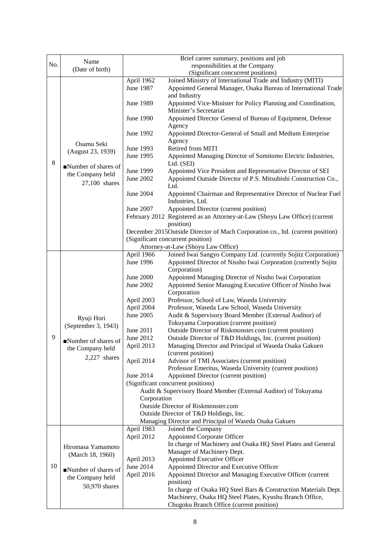|     |                                       |                                 | Brief career summary, positions and job                                        |  |
|-----|---------------------------------------|---------------------------------|--------------------------------------------------------------------------------|--|
| No. | Name                                  | responsibilities at the Company |                                                                                |  |
|     | (Date of birth)                       |                                 | (Significant concurrent positions)                                             |  |
|     |                                       | April 1962                      | Joined Ministry of International Trade and Industry (MITI)                     |  |
|     |                                       | June 1987                       | Appointed General Manager, Osaka Bureau of International Trade                 |  |
|     |                                       |                                 | and Industry                                                                   |  |
|     |                                       | June 1989                       | Appointed Vice-Minister for Policy Planning and Coordination,                  |  |
|     |                                       |                                 | Minister's Secretariat                                                         |  |
|     |                                       | June 1990                       | Appointed Director General of Bureau of Equipment, Defense                     |  |
|     |                                       |                                 | Agency                                                                         |  |
|     |                                       | June 1992                       | Appointed Director-General of Small and Medium Enterprise                      |  |
|     |                                       |                                 | Agency                                                                         |  |
|     | Osamu Seki                            | June 1993                       | Retired from MITI                                                              |  |
|     | (August 23, 1939)                     | June 1995                       | Appointed Managing Director of Sumitomo Electric Industries,                   |  |
| 8   |                                       |                                 | Ltd. (SEI)                                                                     |  |
|     | Number of shares of                   | June 1999                       | Appointed Vice President and Representative Director of SEI                    |  |
|     | the Company held                      | June 2002                       | Appointed Outside Director of P.S. Mitsubishi Construction Co.,                |  |
|     | 27,100 shares                         |                                 | Ltd.                                                                           |  |
|     |                                       | June 2004                       | Appointed Chairman and Representative Director of Nuclear Fuel                 |  |
|     |                                       |                                 | Industries, Ltd.                                                               |  |
|     |                                       | June 2007                       | Appointed Director (current position)                                          |  |
|     |                                       |                                 | February 2012 Registered as an Attorney-at-Law (Shoyu Law Office) (current     |  |
|     |                                       |                                 | position)                                                                      |  |
|     |                                       |                                 | December 2015Outside Director of Mach Corporation co., ltd. (current position) |  |
|     |                                       |                                 | (Significant concurrent position)                                              |  |
|     |                                       |                                 | Attorney-at-Law (Shoyu Law Office)                                             |  |
|     |                                       | April 1966                      | Joined Iwai Sangyo Company Ltd. (currently Sojitz Corporation)                 |  |
|     |                                       | June 1996                       | Appointed Director of Nissho Iwai Corporation (currently Sojitz                |  |
|     |                                       |                                 | Corporation)                                                                   |  |
|     |                                       | June 2000                       | Appointed Managing Director of Nissho Iwai Corporation                         |  |
|     |                                       | June 2002                       | Appointed Senior Managing Executive Officer of Nissho Iwai                     |  |
|     |                                       |                                 | Corporation                                                                    |  |
|     |                                       | April 2003                      | Professor, School of Law, Waseda University                                    |  |
|     |                                       | April 2004                      | Professor, Waseda Law School, Waseda University                                |  |
|     | Ryuji Hori                            | June 2005                       | Audit & Supervisory Board Member (External Auditor) of                         |  |
|     | (September 3, 1943)                   |                                 | Tokuyama Corporation (current position)                                        |  |
|     |                                       | June 2011                       | Outside Director of Riskmonster.com (current position)                         |  |
| 9   | Number of shares of                   | June 2012                       | Outside Director of T&D Holdings, Inc. (current position)                      |  |
|     | the Company held                      | April 2013                      | Managing Director and Principal of Waseda Osaka Gakuen                         |  |
|     | 2,227 shares                          |                                 | (current position)                                                             |  |
|     |                                       | April 2014                      | Advisor of TMI Associates (current position)                                   |  |
|     |                                       |                                 | Professor Emeritus, Waseda University (current position)                       |  |
|     |                                       | June 2014                       | Appointed Director (current position)                                          |  |
|     |                                       |                                 | (Significant concurrent positions)                                             |  |
|     |                                       |                                 | Audit & Supervisory Board Member (External Auditor) of Tokuyama                |  |
|     |                                       | Corporation                     |                                                                                |  |
|     |                                       |                                 | <b>Outside Director of Riskmonster.com</b>                                     |  |
|     |                                       |                                 | Outside Director of T&D Holdings, Inc.                                         |  |
|     |                                       | April 1983                      | Managing Director and Principal of Waseda Osaka Gakuen<br>Joined the Company   |  |
|     |                                       | April 2012                      | Appointed Corporate Officer                                                    |  |
|     |                                       |                                 | In charge of Machinery and Osaka HQ Steel Plates and General                   |  |
|     | Hiromasa Yamamoto<br>(March 18, 1960) |                                 | Manager of Machinery Dept.                                                     |  |
|     |                                       | April 2013                      | Appointed Executive Officer                                                    |  |
| 10  |                                       | June 2014                       | Appointed Director and Executive Officer                                       |  |
|     | Number of shares of                   | April 2016                      | Appointed Director and Managing Executive Officer (current                     |  |
|     | the Company held                      |                                 | position)                                                                      |  |
|     | 50,970 shares                         |                                 | In charge of Osaka HQ Steel Bars & Construction Materials Dept.                |  |
|     |                                       |                                 | Machinery, Osaka HQ Steel Plates, Kyushu Branch Office,                        |  |
|     |                                       |                                 | Chugoku Branch Office (current position)                                       |  |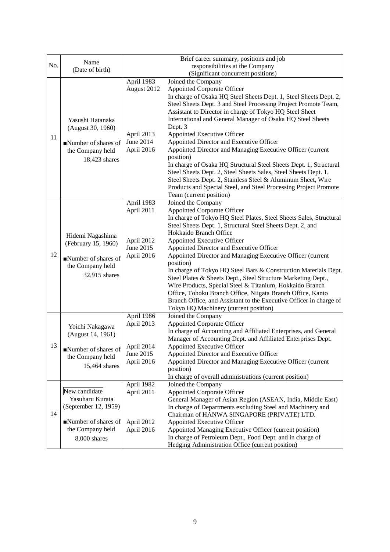|     | Name                                                                               |                          | Brief career summary, positions and job                                                                                                                                                                                                       |
|-----|------------------------------------------------------------------------------------|--------------------------|-----------------------------------------------------------------------------------------------------------------------------------------------------------------------------------------------------------------------------------------------|
| No. | (Date of birth)                                                                    |                          | responsibilities at the Company                                                                                                                                                                                                               |
|     |                                                                                    |                          | (Significant concurrent positions)                                                                                                                                                                                                            |
|     |                                                                                    | April 1983               | Joined the Company                                                                                                                                                                                                                            |
|     |                                                                                    | August 2012              | Appointed Corporate Officer                                                                                                                                                                                                                   |
|     |                                                                                    |                          | In charge of Osaka HQ Steel Sheets Dept. 1, Steel Sheets Dept. 2,                                                                                                                                                                             |
|     |                                                                                    |                          | Steel Sheets Dept. 3 and Steel Processing Project Promote Team,                                                                                                                                                                               |
|     |                                                                                    |                          | Assistant to Director in charge of Tokyo HQ Steel Sheet<br>International and General Manager of Osaka HQ Steel Sheets                                                                                                                         |
|     | Yasushi Hatanaka<br>(August 30, 1960)<br>Number of shares of                       |                          | Dept. 3                                                                                                                                                                                                                                       |
|     |                                                                                    | April 2013               | Appointed Executive Officer                                                                                                                                                                                                                   |
| 11  |                                                                                    | June 2014                | Appointed Director and Executive Officer                                                                                                                                                                                                      |
|     | the Company held                                                                   | April 2016               | Appointed Director and Managing Executive Officer (current                                                                                                                                                                                    |
|     | 18,423 shares                                                                      |                          | position)                                                                                                                                                                                                                                     |
|     |                                                                                    |                          | In charge of Osaka HQ Structural Steel Sheets Dept. 1, Structural                                                                                                                                                                             |
|     |                                                                                    |                          | Steel Sheets Dept. 2, Steel Sheets Sales, Steel Sheets Dept. 1,                                                                                                                                                                               |
|     |                                                                                    |                          | Steel Sheets Dept. 2, Stainless Steel & Aluminum Sheet, Wire                                                                                                                                                                                  |
|     |                                                                                    |                          | Products and Special Steel, and Steel Processing Project Promote                                                                                                                                                                              |
|     |                                                                                    | April 1983               | Team (current position)<br>Joined the Company                                                                                                                                                                                                 |
|     |                                                                                    | April 2011               | <b>Appointed Corporate Officer</b>                                                                                                                                                                                                            |
|     |                                                                                    |                          | In charge of Tokyo HQ Steel Plates, Steel Sheets Sales, Structural                                                                                                                                                                            |
|     |                                                                                    |                          | Steel Sheets Dept. 1, Structural Steel Sheets Dept. 2, and                                                                                                                                                                                    |
|     |                                                                                    |                          | Hokkaido Branch Office                                                                                                                                                                                                                        |
|     | Hidemi Nagashima<br>(February 15, 1960)<br>Number of shares of<br>the Company held | April 2012               | Appointed Executive Officer                                                                                                                                                                                                                   |
|     |                                                                                    | June 2015                | Appointed Director and Executive Officer                                                                                                                                                                                                      |
| 12  |                                                                                    | April 2016               | Appointed Director and Managing Executive Officer (current                                                                                                                                                                                    |
|     |                                                                                    |                          | position)                                                                                                                                                                                                                                     |
|     | 32,915 shares                                                                      |                          | In charge of Tokyo HQ Steel Bars & Construction Materials Dept.                                                                                                                                                                               |
|     |                                                                                    |                          | Steel Plates & Sheets Dept., Steel Structure Marketing Dept.,<br>Wire Products, Special Steel & Titanium, Hokkaido Branch                                                                                                                     |
|     |                                                                                    |                          | Office, Tohoku Branch Office, Niigata Branch Office, Kanto                                                                                                                                                                                    |
|     |                                                                                    |                          | Branch Office, and Assistant to the Executive Officer in charge of                                                                                                                                                                            |
|     |                                                                                    |                          | Tokyo HQ Machinery (current position)                                                                                                                                                                                                         |
|     |                                                                                    | April 1986               | Joined the Company                                                                                                                                                                                                                            |
|     | Yoichi Nakagawa<br>(August 14, 1961)                                               | April 2013               | <b>Appointed Corporate Officer</b>                                                                                                                                                                                                            |
|     |                                                                                    |                          | In charge of Accounting and Affiliated Enterprises, and General                                                                                                                                                                               |
|     |                                                                                    |                          | Manager of Accounting Dept. and Affiliated Enterprises Dept.                                                                                                                                                                                  |
| 13  | Number of shares of                                                                | April 2014               | <b>Appointed Executive Officer</b>                                                                                                                                                                                                            |
|     | the Company held                                                                   | June 2015<br>April 2016  | Appointed Director and Executive Officer<br>Appointed Director and Managing Executive Officer (current                                                                                                                                        |
|     | 15,464 shares                                                                      |                          | position)                                                                                                                                                                                                                                     |
|     |                                                                                    |                          | In charge of overall administrations (current position)                                                                                                                                                                                       |
|     |                                                                                    | April 1982               | Joined the Company                                                                                                                                                                                                                            |
|     | New candidate                                                                      | April 2011               |                                                                                                                                                                                                                                               |
|     | Yasuharu Kurata                                                                    |                          | General Manager of Asian Region (ASEAN, India, Middle East)                                                                                                                                                                                   |
|     | (September 12, 1959)                                                               |                          | In charge of Departments excluding Steel and Machinery and                                                                                                                                                                                    |
|     |                                                                                    |                          | Chairman of HANWA SINGAPORE (PRIVATE) LTD.                                                                                                                                                                                                    |
|     |                                                                                    |                          |                                                                                                                                                                                                                                               |
|     |                                                                                    |                          |                                                                                                                                                                                                                                               |
|     |                                                                                    |                          |                                                                                                                                                                                                                                               |
| 14  | Number of shares of<br>the Company held<br>8,000 shares                            | April 2012<br>April 2016 | <b>Appointed Corporate Officer</b><br>Appointed Executive Officer<br>Appointed Managing Executive Officer (current position)<br>In charge of Petroleum Dept., Food Dept. and in charge of<br>Hedging Administration Office (current position) |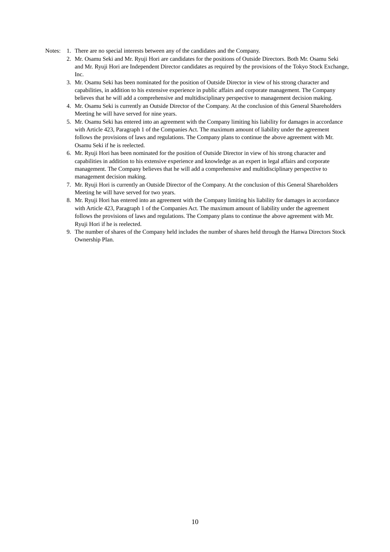- Notes: 1. There are no special interests between any of the candidates and the Company.
	- 2. Mr. Osamu Seki and Mr. Ryuji Hori are candidates for the positions of Outside Directors. Both Mr. Osamu Seki and Mr. Ryuji Hori are Independent Director candidates as required by the provisions of the Tokyo Stock Exchange, Inc.
	- 3. Mr. Osamu Seki has been nominated for the position of Outside Director in view of his strong character and capabilities, in addition to his extensive experience in public affairs and corporate management. The Company believes that he will add a comprehensive and multidisciplinary perspective to management decision making.
	- 4. Mr. Osamu Seki is currently an Outside Director of the Company. At the conclusion of this General Shareholders Meeting he will have served for nine years.
	- 5. Mr. Osamu Seki has entered into an agreement with the Company limiting his liability for damages in accordance with Article 423, Paragraph 1 of the Companies Act. The maximum amount of liability under the agreement follows the provisions of laws and regulations. The Company plans to continue the above agreement with Mr. Osamu Seki if he is reelected.
	- 6. Mr. Ryuji Hori has been nominated for the position of Outside Director in view of his strong character and capabilities in addition to his extensive experience and knowledge as an expert in legal affairs and corporate management. The Company believes that he will add a comprehensive and multidisciplinary perspective to management decision making.
	- 7. Mr. Ryuji Hori is currently an Outside Director of the Company. At the conclusion of this General Shareholders Meeting he will have served for two years.
	- 8. Mr. Ryuji Hori has entered into an agreement with the Company limiting his liability for damages in accordance with Article 423, Paragraph 1 of the Companies Act. The maximum amount of liability under the agreement follows the provisions of laws and regulations. The Company plans to continue the above agreement with Mr. Ryuji Hori if he is reelected.
	- 9. The number of shares of the Company held includes the number of shares held through the Hanwa Directors Stock Ownership Plan.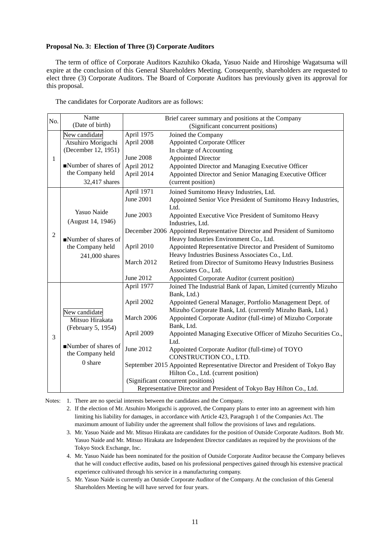#### **Proposal No. 3: Election of Three (3) Corporate Auditors**

The term of office of Corporate Auditors Kazuhiko Okada, Yasuo Naide and Hiroshige Wagatsuma will expire at the conclusion of this General Shareholders Meeting. Consequently, shareholders are requested to elect three (3) Corporate Auditors. The Board of Corporate Auditors has previously given its approval for this proposal.

The candidates for Corporate Auditors are as follows:

| No.            | Name                |                  | Brief career summary and positions at the Company                           |
|----------------|---------------------|------------------|-----------------------------------------------------------------------------|
|                | (Date of birth)     |                  | (Significant concurrent positions)                                          |
|                | New candidate       | April 1975       | Joined the Company                                                          |
|                | Atsuhiro Moriguchi  | April 2008       | <b>Appointed Corporate Officer</b>                                          |
|                | (December 12, 1951) |                  | In charge of Accounting                                                     |
| $\mathbf{1}$   |                     | <b>June 2008</b> | <b>Appointed Director</b>                                                   |
|                | Number of shares of | April 2012       | Appointed Director and Managing Executive Officer                           |
|                | the Company held    | April 2014       | Appointed Director and Senior Managing Executive Officer                    |
|                | 32,417 shares       |                  | (current position)                                                          |
|                |                     | April 1971       | Joined Sumitomo Heavy Industries, Ltd.                                      |
|                |                     | <b>June 2001</b> | Appointed Senior Vice President of Sumitomo Heavy Industries,               |
|                |                     |                  | Ltd.                                                                        |
|                | Yasuo Naide         | June 2003        | Appointed Executive Vice President of Sumitomo Heavy                        |
|                | (August 14, 1946)   |                  | Industries, Ltd.                                                            |
| $\overline{2}$ |                     |                  | December 2006 Appointed Representative Director and President of Sumitomo   |
|                | Number of shares of |                  | Heavy Industries Environment Co., Ltd.                                      |
|                | the Company held    | April 2010       | Appointed Representative Director and President of Sumitomo                 |
|                | 241,000 shares      |                  | Heavy Industries Business Associates Co., Ltd.                              |
|                |                     | March 2012       | Retired from Director of Sumitomo Heavy Industries Business                 |
|                |                     |                  | Associates Co., Ltd.                                                        |
|                |                     | June 2012        | Appointed Corporate Auditor (current position)                              |
|                |                     | April 1977       | Joined The Industrial Bank of Japan, Limited (currently Mizuho              |
|                |                     |                  | Bank, Ltd.)                                                                 |
|                |                     | April 2002       | Appointed General Manager, Portfolio Management Dept. of                    |
|                | New candidate       |                  | Mizuho Corporate Bank, Ltd. (currently Mizuho Bank, Ltd.)                   |
|                | Mitsuo Hirakata     | March 2006       | Appointed Corporate Auditor (full-time) of Mizuho Corporate                 |
|                | (February 5, 1954)  |                  | Bank, Ltd.                                                                  |
| 3              |                     | April 2009       | Appointed Managing Executive Officer of Mizuho Securities Co.,              |
|                | Number of shares of |                  | Ltd.                                                                        |
|                | the Company held    | June 2012        | Appointed Corporate Auditor (full-time) of TOYO                             |
|                | 0 share             |                  | CONSTRUCTION CO., LTD.                                                      |
|                |                     |                  | September 2015 Appointed Representative Director and President of Tokyo Bay |
|                |                     |                  | Hilton Co., Ltd. (current position)                                         |
|                |                     |                  | (Significant concurrent positions)                                          |
|                |                     |                  | Representative Director and President of Tokyo Bay Hilton Co., Ltd.         |

Notes: 1. There are no special interests between the candidates and the Company.

2. If the election of Mr. Atsuhiro Moriguchi is approved, the Company plans to enter into an agreement with him limiting his liability for damages, in accordance with Article 423, Paragraph 1 of the Companies Act. The maximum amount of liability under the agreement shall follow the provisions of laws and regulations.

- 3. Mr. Yasuo Naide and Mr. Mitsuo Hirakata are candidates for the position of Outside Corporate Auditors. Both Mr. Yasuo Naide and Mr. Mitsuo Hirakata are Independent Director candidates as required by the provisions of the Tokyo Stock Exchange, Inc.
- 4. Mr. Yasuo Naide has been nominated for the position of Outside Corporate Auditor because the Company believes that he will conduct effective audits, based on his professional perspectives gained through his extensive practical experience cultivated through his service in a manufacturing company.
- 5. Mr. Yasuo Naide is currently an Outside Corporate Auditor of the Company. At the conclusion of this General Shareholders Meeting he will have served for four years.